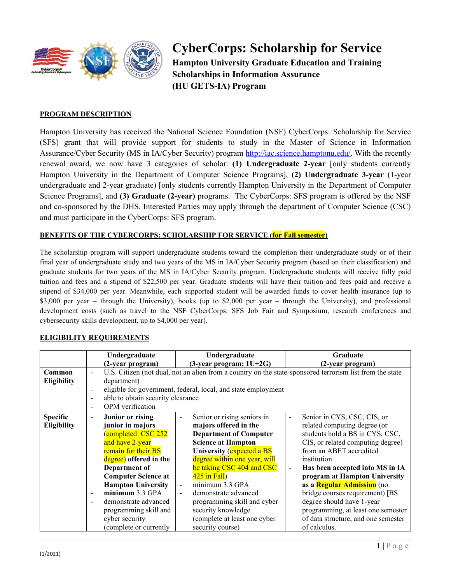

# **CyberCorps: Scholarship for Service**

**Hampton University Graduate Education and Training Scholarships in Information Assurance (HU GETS-IA) Program**

#### **PROGRAM DESCRIPTION**

Hampton University has received the National Science Foundation (NSF) CyberCorps: Scholarship for Service (SFS) grant that will provide support for students to study in the Master of Science in Information Assurance/Cyber Security (MS in IA/Cyber Security) program [http://iac.science.hamptonu.edu/.](http://iac.science.hamptonu.edu/) With the recently renewal award, we now have 3 categories of scholar: **(1) Undergraduate 2-year** [only students currently Hampton University in the Department of Computer Science Programs], **(2) Undergraduate 3-year** (1-year undergraduate and 2-year graduate) [only students currently Hampton University in the Department of Computer Science Programs], and **(3) Graduate (2-year)** programs. The CyberCorps: SFS program is offered by the NSF and co-sponsored by the DHS. Interested Parties may apply through the department of Computer Science (CSC) and must participate in the CyberCorps: SFS program.

#### **BENEFITS OF THE CYBERCORPS: SCHOLARSHIP FOR SERVICE (for Fall semester)**

The scholarship program will support undergraduate students toward the completion their undergraduate study or of their final year of undergraduate study and two years of the MS in IA/Cyber Security program (based on their classification) and graduate students for two years of the MS in IA/Cyber Security program. Undergraduate students will receive fully paid tuition and fees and a stipend of \$22,500 per year. Graduate students will have their tuition and fees paid and receive a stipend of \$34,000 per year. Meanwhile, each supported student will be awarded funds to cover health insurance (up to \$3,000 per year – through the University), books (up to \$2,000 per year – through the University), and professional development costs (such as travel to the NSF CyberCorps: SFS Job Fair and Symposium, research conferences and cybersecurity skills development, up to \$4,000 per year).

#### **Undergraduate (2-year program) Undergraduate (3-year program: 1U+2G) Graduate (2-year program) Common Eligibility** U.S. Citizen (not dual, not an alien from a country on the state-sponsored terrorism list from the state department) eligible for government, federal, local, and state employment - able to obtain security clearance - OPM verification **Specific Eligibility** - **Junior or rising junior in majors** (completed CSC 252 and have 2-year remain for their BS degree) **offered in the Department of Computer Science at Hampton University** - **minimum** 3.3 GPA demonstrate advanced programming skill and cyber security (complete or currently Senior or rising seniors in **majors offered in the Department of Computer Science at Hampton University** (expected a BS degree within one year, will be taking CSC 404 and CSC  $425$  in Fall) minimum 3.3 GPA demonstrate advanced programming skill and cyber security knowledge (complete at least one cyber security course) - Senior in CYS, CSC, CIS, or related computing degree (or students hold a BS in CYS, CSC, CIS, or related computing degree) from an ABET accredited institution - **Has been accepted into MS in IA program at Hampton University as a Regular Admission** (no bridge courses requirement) [BS degree should have 1-year programming, at least one semester of data structure, and one semester of calculus.

#### **ELIGIBILITY REQUIREMENTS**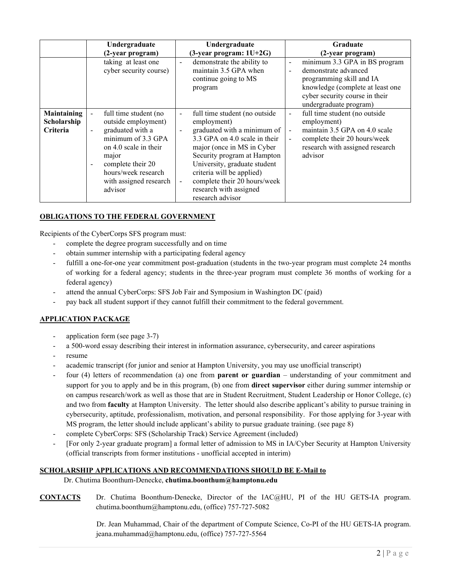|                                               | Undergraduate                                                                                                                                                                                                                                                               | Undergraduate                                                                                                                                                                                                                                                                                                                                                                         | <b>Graduate</b>                                                                                                                                                                                                             |
|-----------------------------------------------|-----------------------------------------------------------------------------------------------------------------------------------------------------------------------------------------------------------------------------------------------------------------------------|---------------------------------------------------------------------------------------------------------------------------------------------------------------------------------------------------------------------------------------------------------------------------------------------------------------------------------------------------------------------------------------|-----------------------------------------------------------------------------------------------------------------------------------------------------------------------------------------------------------------------------|
|                                               | (2-year program)                                                                                                                                                                                                                                                            | $(3$ -year program: $1U+2G$                                                                                                                                                                                                                                                                                                                                                           | (2-year program)                                                                                                                                                                                                            |
|                                               | taking at least one<br>cyber security course)                                                                                                                                                                                                                               | demonstrate the ability to<br>$\blacksquare$<br>maintain 3.5 GPA when<br>continue going to MS<br>program                                                                                                                                                                                                                                                                              | minimum 3.3 GPA in BS program<br>$\overline{\phantom{a}}$<br>demonstrate advanced<br>programming skill and IA<br>knowledge (complete at least one<br>cyber security course in their<br>undergraduate program)               |
| Maintaining<br>Scholarship<br><b>Criteria</b> | full time student (no<br>$\blacksquare$<br>outside employment)<br>graduated with a<br>$\overline{a}$<br>minimum of $3.3$ GPA<br>on 4.0 scale in their<br>major<br>complete their 20<br>$\overline{\phantom{a}}$<br>hours/week research<br>with assigned research<br>advisor | full time student (no outside<br>$\overline{\phantom{a}}$<br>employment)<br>graduated with a minimum of<br>$\blacksquare$<br>3.3 GPA on 4.0 scale in their<br>major (once in MS in Cyber)<br>Security program at Hampton<br>University, graduate student<br>criteria will be applied)<br>complete their 20 hours/week<br>$\blacksquare$<br>research with assigned<br>research advisor | full time student (no outside<br>$\blacksquare$<br>employment)<br>maintain 3.5 GPA on 4.0 scale<br>$\overline{\phantom{a}}$<br>complete their 20 hours/week<br>$\blacksquare$<br>research with assigned research<br>advisor |

#### **OBLIGATIONS TO THE FEDERAL GOVERNMENT**

Recipients of the CyberCorps SFS program must:

- complete the degree program successfully and on time
- obtain summer internship with a participating federal agency
- fulfill a one-for-one year commitment post-graduation (students in the two-year program must complete 24 months of working for a federal agency; students in the three-year program must complete 36 months of working for a federal agency)
- attend the annual CyberCorps: SFS Job Fair and Symposium in Washington DC (paid)
- pay back all student support if they cannot fulfill their commitment to the federal government.

#### **APPLICATION PACKAGE**

- application form (see page 3-7)
- a 500-word essay describing their interest in information assurance, cybersecurity, and career aspirations
- resume
- academic transcript (for junior and senior at Hampton University, you may use unofficial transcript)
- four (4) letters of recommendation (a) one from **parent or guardian** understanding of your commitment and support for you to apply and be in this program, (b) one from **direct supervisor** either during summer internship or on campus research/work as well as those that are in Student Recruitment, Student Leadership or Honor College, (c) and two from **faculty** at Hampton University. The letter should also describe applicant's ability to pursue training in cybersecurity, aptitude, professionalism, motivation, and personal responsibility. For those applying for 3-year with MS program, the letter should include applicant's ability to pursue graduate training. (see page 8)
- complete CyberCorps: SFS (Scholarship Track) Service Agreement (included)
- [For only 2-year graduate program] a formal letter of admission to MS in IA/Cyber Security at Hampton University (official transcripts from former institutions - unofficial accepted in interim)

#### **SCHOLARSHIP APPLICATIONS AND RECOMMENDATIONS SHOULD BE E-Mail to**

#### Dr. Chutima Boonthum-Denecke, **chutima.boonthum@hamptonu.edu**

**CONTACTS** Dr. Chutima Boonthum-Denecke, Director of the IAC@HU, PI of the HU GETS-IA program. chutima.boonthum@hamptonu.edu, (office) 757-727-5082

> Dr. Jean Muhammad, Chair of the department of Compute Science, Co-PI of the HU GETS-IA program. jeana.muhammad@hamptonu.edu, (office) 757-727-5564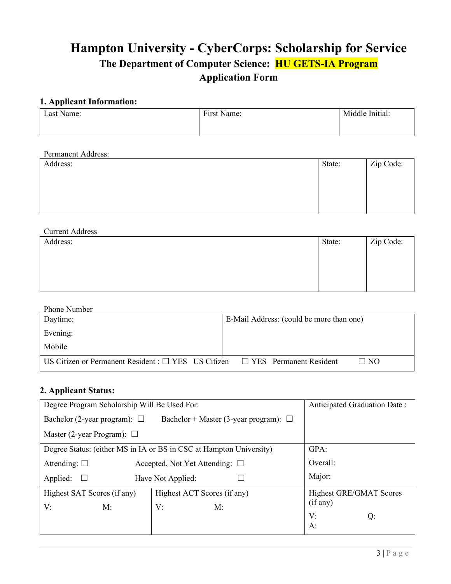# **Hampton University - CyberCorps: Scholarship for Service The Department of Computer Science: HU GETS-IA Program Application Form**

# **1. Applicant Information:**

| Last Name: | First Name: | Middle Initial: |
|------------|-------------|-----------------|
|            |             |                 |

## Permanent Address:

| Address: | State: | Zip Code: |
|----------|--------|-----------|
|          |        |           |
|          |        |           |
|          |        |           |
|          |        |           |

| <b>Current Address</b> |        |           |
|------------------------|--------|-----------|
| Address:               | State: | Zip Code: |
|                        |        |           |
|                        |        |           |
|                        |        |           |
|                        |        |           |

#### Phone Number

| $1.0118 + 0.01108$                                       |                                          |  |  |
|----------------------------------------------------------|------------------------------------------|--|--|
| Daytime:                                                 | E-Mail Address: (could be more than one) |  |  |
| Evening:                                                 |                                          |  |  |
| Mobile                                                   |                                          |  |  |
| US Citizen or Permanent Resident : $\Box$ YES US Citizen | $\Box$ No<br>□ YES Permanent Resident    |  |  |

## **2. Applicant Status:**

| Degree Program Scholarship Will Be Used For:                                    | Anticipated Graduation Date:                                        |                         |  |  |  |  |  |
|---------------------------------------------------------------------------------|---------------------------------------------------------------------|-------------------------|--|--|--|--|--|
| Bachelor (2-year program): $\Box$<br>Bachelor + Master (3-year program): $\Box$ |                                                                     |                         |  |  |  |  |  |
| Master (2-year Program): $\Box$                                                 |                                                                     |                         |  |  |  |  |  |
|                                                                                 | Degree Status: (either MS in IA or BS in CSC at Hampton University) | GPA:                    |  |  |  |  |  |
| Attending: $\square$                                                            | Accepted, Not Yet Attending: $\square$                              | Overall:                |  |  |  |  |  |
| Applied:                                                                        | Major:<br>Have Not Applied:                                         |                         |  |  |  |  |  |
| Highest SAT Scores (if any)                                                     | Highest ACT Scores (if any)                                         | Highest GRE/GMAT Scores |  |  |  |  |  |
| V:<br>M:                                                                        | V:<br>M:                                                            | (if any)                |  |  |  |  |  |
|                                                                                 |                                                                     | V:<br>Q:                |  |  |  |  |  |
|                                                                                 |                                                                     | A:                      |  |  |  |  |  |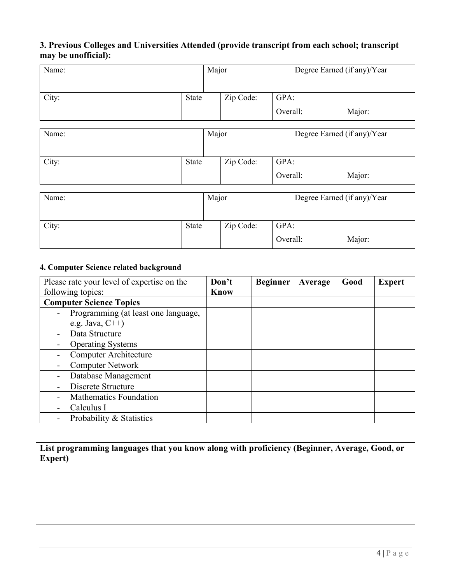# **3. Previous Colleges and Universities Attended (provide transcript from each school; transcript may be unofficial):**

| Name: |              | Major |                   |          | Degree Earned (if any)/Year |  |
|-------|--------------|-------|-------------------|----------|-----------------------------|--|
| City: | State        |       | Zip Code:         | GPA:     |                             |  |
|       |              |       |                   | Overall: | Major:                      |  |
| Name: |              | Major |                   |          | Degree Earned (if any)/Year |  |
|       |              |       |                   |          |                             |  |
| City: | <b>State</b> |       | Zip Code:<br>GPA: |          |                             |  |
|       |              |       | Overall:          |          | Major:                      |  |
| Name: |              | Major |                   |          | Degree Earned (if any)/Year |  |
|       |              |       |                   |          |                             |  |
| City: | <b>State</b> |       | Zip Code:         | GPA:     |                             |  |
|       |              |       |                   | Overall: | Major:                      |  |

#### **4. Computer Science related background**

| Please rate your level of expertise on the | Don't       | <b>Beginner</b> | Average | Good | <b>Expert</b> |
|--------------------------------------------|-------------|-----------------|---------|------|---------------|
| following topics:                          | <b>Know</b> |                 |         |      |               |
| <b>Computer Science Topics</b>             |             |                 |         |      |               |
| Programming (at least one language,        |             |                 |         |      |               |
| e.g. Java, $C++$ )                         |             |                 |         |      |               |
| Data Structure                             |             |                 |         |      |               |
| <b>Operating Systems</b>                   |             |                 |         |      |               |
| <b>Computer Architecture</b>               |             |                 |         |      |               |
| <b>Computer Network</b>                    |             |                 |         |      |               |
| Database Management                        |             |                 |         |      |               |
| Discrete Structure                         |             |                 |         |      |               |
| <b>Mathematics Foundation</b>              |             |                 |         |      |               |
| Calculus I                                 |             |                 |         |      |               |
| Probability & Statistics                   |             |                 |         |      |               |

**List programming languages that you know along with proficiency (Beginner, Average, Good, or Expert)**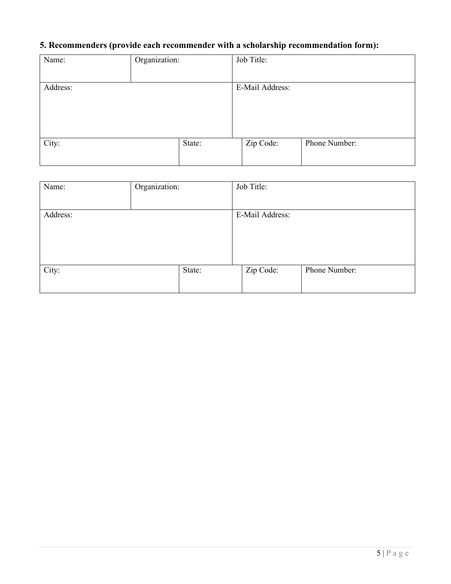# **5. Recommenders (provide each recommender with a scholarship recommendation form):**

| Organization: |           |                               |
|---------------|-----------|-------------------------------|
|               |           |                               |
|               |           |                               |
|               |           |                               |
|               | Zip Code: | Phone Number:                 |
|               | State:    | Job Title:<br>E-Mail Address: |

| Name:    | Organization: |        | Job Title:      |               |
|----------|---------------|--------|-----------------|---------------|
| Address: |               |        | E-Mail Address: |               |
| City:    |               | State: | Zip Code:       | Phone Number: |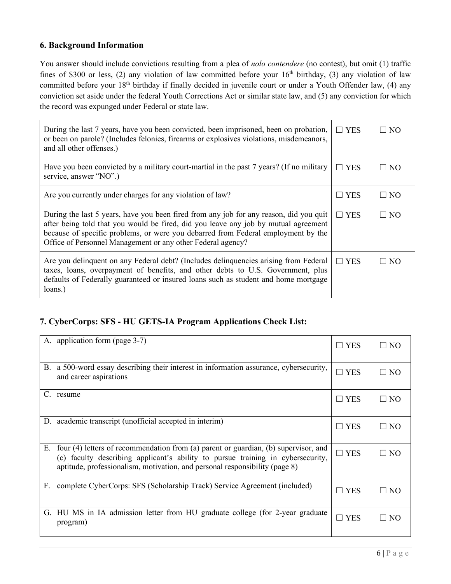## **6. Background Information**

You answer should include convictions resulting from a plea of *nolo contendere* (no contest), but omit (1) traffic fines of \$300 or less, (2) any violation of law committed before your  $16<sup>th</sup>$  birthday, (3) any violation of law committed before your 18<sup>th</sup> birthday if finally decided in juvenile court or under a Youth Offender law, (4) any conviction set aside under the federal Youth Corrections Act or similar state law, and (5) any conviction for which the record was expunged under Federal or state law.

| During the last 7 years, have you been convicted, been imprisoned, been on probation,<br>or been on parole? (Includes felonies, firearms or explosives violations, misdemeanors,<br>and all other offenses.)                                                                                                                      | $\Box$ YES | - I NO       |
|-----------------------------------------------------------------------------------------------------------------------------------------------------------------------------------------------------------------------------------------------------------------------------------------------------------------------------------|------------|--------------|
| Have you been convicted by a military court-martial in the past 7 years? (If no military<br>service, answer "NO".)                                                                                                                                                                                                                | $\Box$ YES | $\square$ NO |
| Are you currently under charges for any violation of law?                                                                                                                                                                                                                                                                         | $\Box$ YES | $\square$ NO |
| During the last 5 years, have you been fired from any job for any reason, did you quit<br>after being told that you would be fired, did you leave any job by mutual agreement<br>because of specific problems, or were you debarred from Federal employment by the<br>Office of Personnel Management or any other Federal agency? | $\Box$ YES | $\Box$ No    |
| Are you delinquent on any Federal debt? (Includes delinquencies arising from Federal<br>taxes, loans, overpayment of benefits, and other debts to U.S. Government, plus<br>defaults of Federally guaranteed or insured loans such as student and home mortgage<br>loans.)                                                         | $\Box$ YES | $\square$ NO |

# **7. CyberCorps: SFS - HU GETS-IA Program Applications Check List:**

|    | A. application form (page 3-7)                                                                                                                                                                                                                        | $\square$ YES        | $\Box$ NO                                  |
|----|-------------------------------------------------------------------------------------------------------------------------------------------------------------------------------------------------------------------------------------------------------|----------------------|--------------------------------------------|
| В. | a 500-word essay describing their interest in information assurance, cybersecurity,<br>and career aspirations                                                                                                                                         | $\square$ YES        | $\Box$ NO                                  |
| C. | resume                                                                                                                                                                                                                                                | $\square$ YES        | N <sub>O</sub>                             |
|    | D. academic transcript (unofficial accepted in interim)                                                                                                                                                                                               | $\square$ YES        | $\square$ NO                               |
| Е. | four (4) letters of recommendation from (a) parent or guardian, (b) supervisor, and<br>(c) faculty describing applicant's ability to pursue training in cybersecurity,<br>aptitude, professionalism, motivation, and personal responsibility (page 8) | $\Box$ YES           | $\square$ NO                               |
| F. | complete CyberCorps: SFS (Scholarship Track) Service Agreement (included)                                                                                                                                                                             | <b>YES</b><br>$\Box$ | N <sub>O</sub><br>$\overline{\phantom{a}}$ |
|    | G. HU MS in IA admission letter from HU graduate college (for 2-year graduate<br>program)                                                                                                                                                             | $\square$ YES        | NO <sub>1</sub>                            |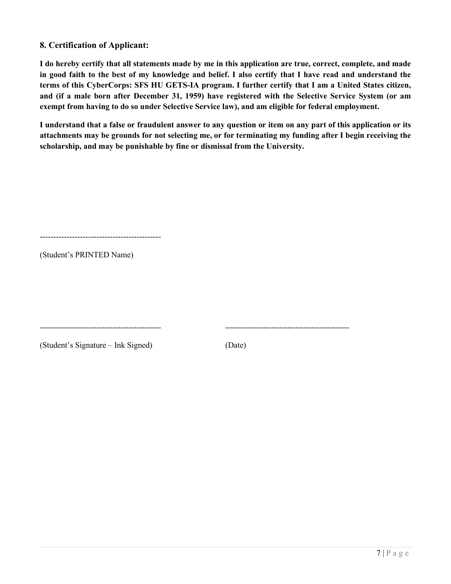### **8. Certification of Applicant:**

**I do hereby certify that all statements made by me in this application are true, correct, complete, and made in good faith to the best of my knowledge and belief. I also certify that I have read and understand the terms of this CyberCorps: SFS HU GETS-IA program. I further certify that I am a United States citizen, and (if a male born after December 31, 1959) have registered with the Selective Service System (or am exempt from having to do so under Selective Service law), and am eligible for federal employment.** 

**I understand that a false or fraudulent answer to any question or item on any part of this application or its attachments may be grounds for not selecting me, or for terminating my funding after I begin receiving the scholarship, and may be punishable by fine or dismissal from the University.**

---------------------------------------------

(Student's PRINTED Name)

(Student's Signature – Ink Signed) (Date)

--------------------------------------------- ----------------------------------------------